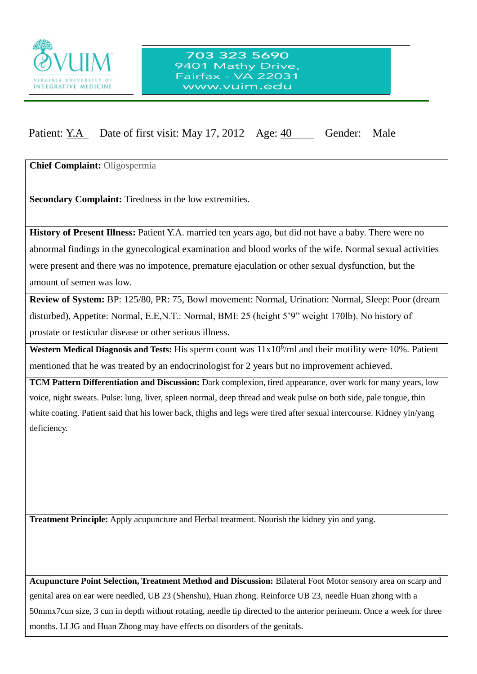

## Patient: Y.A Date of first visit: May 17, 2012 Age: 40 Gender: Male

**Chief Complaint:** Oligospermia

**Secondary Complaint:** Tiredness in the low extremities.

 $\overline{a}$ 

**History of Present Illness:** Patient Y.A. married ten years ago, but did not have a baby. There were no abnormal findings in the gynecological examination and blood works of the wife. Normal sexual activities were present and there was no impotence, premature ejaculation or other sexual dysfunction, but the amount of semen was low.

**Review of System:** BP: 125/80, PR: 75, Bowl movement: Normal, Urination: Normal, Sleep: Poor (dream disturbed), Appetite: Normal, E.E,N.T.: Normal, BMI: 25 (height 5'9" weight 170lb). No history of prostate or testicular disease or other serious illness.

Western Medical Diagnosis and Tests: His sperm count was  $11x10^6$ /ml and their motility were 10%. Patient mentioned that he was treated by an endocrinologist for 2 years but no improvement achieved.

**TCM Pattern Differentiation and Discussion:** Dark complexion, tired appearance, over work for many years, low voice, night sweats. Pulse: lung, liver, spleen normal, deep thread and weak pulse on both side, pale tongue, thin white coating. Patient said that his lower back, thighs and legs were tired after sexual intercourse. Kidney yin/yang deficiency.

**Treatment Principle:** Apply acupuncture and Herbal treatment. Nourish the kidney yin and yang.

**Acupuncture Point Selection, Treatment Method and Discussion:** Bilateral Foot Motor sensory area on scarp and genital area on ear were needled, UB 23 (Shenshu), Huan zhong. Reinforce UB 23, needle Huan zhong with a 50mmx7cun size, 3 cun in depth without rotating, needle tip directed to the anterior perineum. Once a week for three months. LI JG and Huan Zhong may have effects on disorders of the genitals.